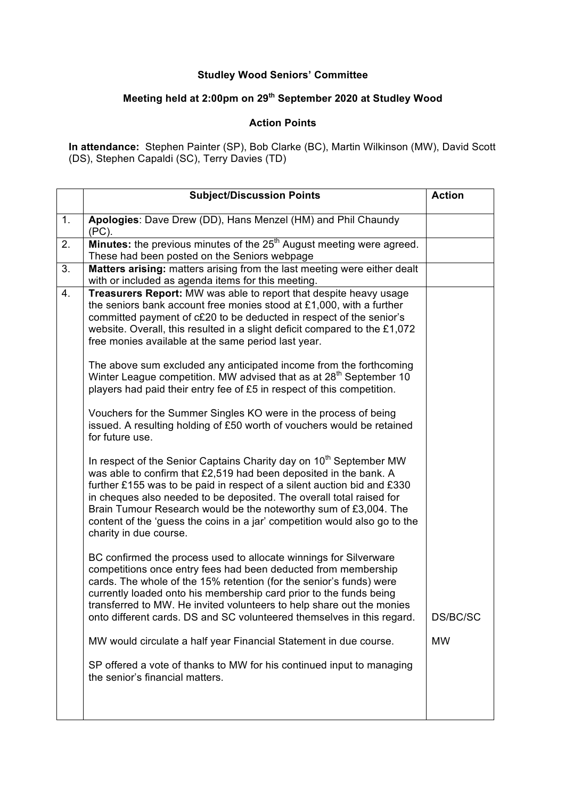## **Studley Wood Seniors' Committee**

## **Meeting held at 2:00pm on 29th September 2020 at Studley Wood**

## **Action Points**

**In attendance:** Stephen Painter (SP), Bob Clarke (BC), Martin Wilkinson (MW), David Scott (DS), Stephen Capaldi (SC), Terry Davies (TD)

| 1.<br>Apologies: Dave Drew (DD), Hans Menzel (HM) and Phil Chaundy<br>(PC).<br>Minutes: the previous minutes of the 25 <sup>th</sup> August meeting were agreed.<br>2.<br>These had been posted on the Seniors webpage<br>3.<br>Matters arising: matters arising from the last meeting were either dealt<br>with or included as agenda items for this meeting.<br>Treasurers Report: MW was able to report that despite heavy usage<br>4.<br>the seniors bank account free monies stood at £1,000, with a further<br>committed payment of c£20 to be deducted in respect of the senior's<br>website. Overall, this resulted in a slight deficit compared to the £1,072<br>free monies available at the same period last year.<br>The above sum excluded any anticipated income from the forthcoming<br>Winter League competition. MW advised that as at 28 <sup>th</sup> September 10<br>players had paid their entry fee of £5 in respect of this competition.<br>Vouchers for the Summer Singles KO were in the process of being<br>issued. A resulting holding of £50 worth of vouchers would be retained<br>for future use.<br>In respect of the Senior Captains Charity day on 10 <sup>th</sup> September MW<br>was able to confirm that £2,519 had been deposited in the bank. A<br>further £155 was to be paid in respect of a silent auction bid and £330<br>in cheques also needed to be deposited. The overall total raised for<br>Brain Tumour Research would be the noteworthy sum of £3,004. The<br>content of the 'guess the coins in a jar' competition would also go to the<br>charity in due course.<br>BC confirmed the process used to allocate winnings for Silverware<br>competitions once entry fees had been deducted from membership<br>cards. The whole of the 15% retention (for the senior's funds) were | <b>Subject/Discussion Points</b>                                   | <b>Action</b> |
|-------------------------------------------------------------------------------------------------------------------------------------------------------------------------------------------------------------------------------------------------------------------------------------------------------------------------------------------------------------------------------------------------------------------------------------------------------------------------------------------------------------------------------------------------------------------------------------------------------------------------------------------------------------------------------------------------------------------------------------------------------------------------------------------------------------------------------------------------------------------------------------------------------------------------------------------------------------------------------------------------------------------------------------------------------------------------------------------------------------------------------------------------------------------------------------------------------------------------------------------------------------------------------------------------------------------------------------------------------------------------------------------------------------------------------------------------------------------------------------------------------------------------------------------------------------------------------------------------------------------------------------------------------------------------------------------------------------------------------------------------------------------------------------------------------------------------------------|--------------------------------------------------------------------|---------------|
|                                                                                                                                                                                                                                                                                                                                                                                                                                                                                                                                                                                                                                                                                                                                                                                                                                                                                                                                                                                                                                                                                                                                                                                                                                                                                                                                                                                                                                                                                                                                                                                                                                                                                                                                                                                                                                     |                                                                    |               |
|                                                                                                                                                                                                                                                                                                                                                                                                                                                                                                                                                                                                                                                                                                                                                                                                                                                                                                                                                                                                                                                                                                                                                                                                                                                                                                                                                                                                                                                                                                                                                                                                                                                                                                                                                                                                                                     |                                                                    |               |
|                                                                                                                                                                                                                                                                                                                                                                                                                                                                                                                                                                                                                                                                                                                                                                                                                                                                                                                                                                                                                                                                                                                                                                                                                                                                                                                                                                                                                                                                                                                                                                                                                                                                                                                                                                                                                                     |                                                                    |               |
| transferred to MW. He invited volunteers to help share out the monies<br>onto different cards. DS and SC volunteered themselves in this regard.<br>MW would circulate a half year Financial Statement in due course.<br><b>MW</b><br>SP offered a vote of thanks to MW for his continued input to managing<br>the senior's financial matters.                                                                                                                                                                                                                                                                                                                                                                                                                                                                                                                                                                                                                                                                                                                                                                                                                                                                                                                                                                                                                                                                                                                                                                                                                                                                                                                                                                                                                                                                                       | currently loaded onto his membership card prior to the funds being | DS/BC/SC      |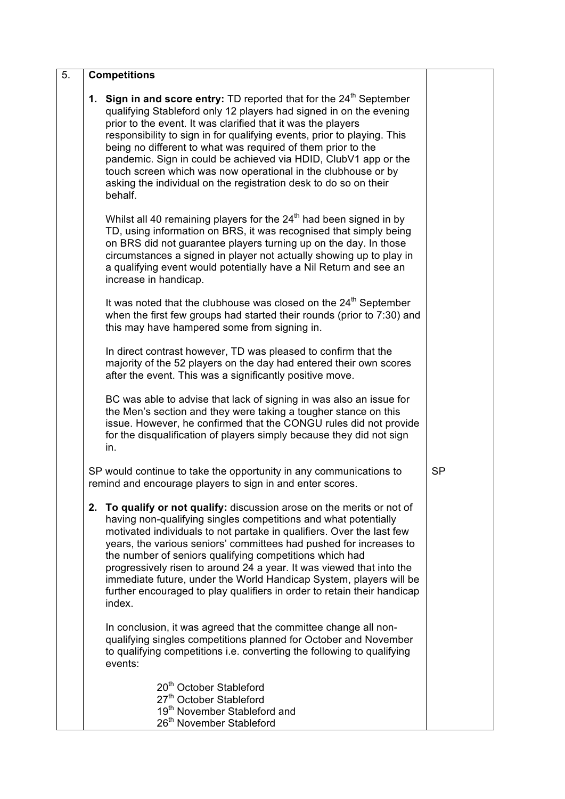| 5. | <b>Competitions</b>                                                                                                                                                                                                                                                                                                                                                                                                                                                                                                                                                                    |           |
|----|----------------------------------------------------------------------------------------------------------------------------------------------------------------------------------------------------------------------------------------------------------------------------------------------------------------------------------------------------------------------------------------------------------------------------------------------------------------------------------------------------------------------------------------------------------------------------------------|-----------|
|    | <b>1. Sign in and score entry:</b> TD reported that for the $24th$ September<br>qualifying Stableford only 12 players had signed in on the evening<br>prior to the event. It was clarified that it was the players<br>responsibility to sign in for qualifying events, prior to playing. This<br>being no different to what was required of them prior to the<br>pandemic. Sign in could be achieved via HDID, ClubV1 app or the<br>touch screen which was now operational in the clubhouse or by<br>asking the individual on the registration desk to do so on their<br>behalf.       |           |
|    | Whilst all 40 remaining players for the 24 <sup>th</sup> had been signed in by<br>TD, using information on BRS, it was recognised that simply being<br>on BRS did not guarantee players turning up on the day. In those<br>circumstances a signed in player not actually showing up to play in<br>a qualifying event would potentially have a Nil Return and see an<br>increase in handicap.                                                                                                                                                                                           |           |
|    | It was noted that the clubhouse was closed on the 24 <sup>th</sup> September<br>when the first few groups had started their rounds (prior to 7:30) and<br>this may have hampered some from signing in.                                                                                                                                                                                                                                                                                                                                                                                 |           |
|    | In direct contrast however, TD was pleased to confirm that the<br>majority of the 52 players on the day had entered their own scores<br>after the event. This was a significantly positive move.                                                                                                                                                                                                                                                                                                                                                                                       |           |
|    | BC was able to advise that lack of signing in was also an issue for<br>the Men's section and they were taking a tougher stance on this<br>issue. However, he confirmed that the CONGU rules did not provide<br>for the disqualification of players simply because they did not sign<br>in.                                                                                                                                                                                                                                                                                             |           |
|    | SP would continue to take the opportunity in any communications to<br>remind and encourage players to sign in and enter scores.                                                                                                                                                                                                                                                                                                                                                                                                                                                        | <b>SP</b> |
|    | 2. To qualify or not qualify: discussion arose on the merits or not of<br>having non-qualifying singles competitions and what potentially<br>motivated individuals to not partake in qualifiers. Over the last few<br>years, the various seniors' committees had pushed for increases to<br>the number of seniors qualifying competitions which had<br>progressively risen to around 24 a year. It was viewed that into the<br>immediate future, under the World Handicap System, players will be<br>further encouraged to play qualifiers in order to retain their handicap<br>index. |           |
|    | In conclusion, it was agreed that the committee change all non-<br>qualifying singles competitions planned for October and November<br>to qualifying competitions i.e. converting the following to qualifying<br>events:                                                                                                                                                                                                                                                                                                                                                               |           |
|    | 20 <sup>th</sup> October Stableford<br>27 <sup>th</sup> October Stableford<br>19 <sup>th</sup> November Stableford and<br>26 <sup>th</sup> November Stableford                                                                                                                                                                                                                                                                                                                                                                                                                         |           |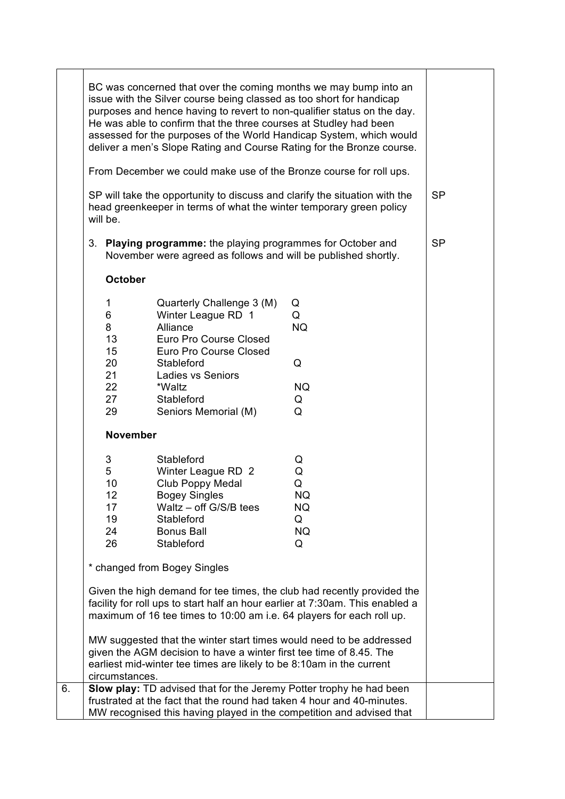|    | BC was concerned that over the coming months we may bump into an<br>issue with the Silver course being classed as too short for handicap<br>purposes and hence having to revert to non-qualifier status on the day.<br>He was able to confirm that the three courses at Studley had been<br>assessed for the purposes of the World Handicap System, which would<br>deliver a men's Slope Rating and Course Rating for the Bronze course.<br>From December we could make use of the Bronze course for roll ups. |                                                                                                                                                                                                           |                                                       |           |
|----|----------------------------------------------------------------------------------------------------------------------------------------------------------------------------------------------------------------------------------------------------------------------------------------------------------------------------------------------------------------------------------------------------------------------------------------------------------------------------------------------------------------|-----------------------------------------------------------------------------------------------------------------------------------------------------------------------------------------------------------|-------------------------------------------------------|-----------|
|    | SP will take the opportunity to discuss and clarify the situation with the<br>head greenkeeper in terms of what the winter temporary green policy<br>will be.                                                                                                                                                                                                                                                                                                                                                  |                                                                                                                                                                                                           |                                                       | <b>SP</b> |
|    | Playing programme: the playing programmes for October and<br>3.<br>November were agreed as follows and will be published shortly.                                                                                                                                                                                                                                                                                                                                                                              |                                                                                                                                                                                                           |                                                       | <b>SP</b> |
|    |                                                                                                                                                                                                                                                                                                                                                                                                                                                                                                                | <b>October</b>                                                                                                                                                                                            |                                                       |           |
|    | 1<br>6<br>8<br>13<br>15<br>20<br>21<br>22<br>27<br>29                                                                                                                                                                                                                                                                                                                                                                                                                                                          | Quarterly Challenge 3 (M)<br>Winter League RD 1<br>Alliance<br>Euro Pro Course Closed<br>Euro Pro Course Closed<br>Stableford<br><b>Ladies vs Seniors</b><br>*Waltz<br>Stableford<br>Seniors Memorial (M) | Q<br>Q<br><b>NQ</b><br>Q<br><b>NQ</b><br>Q<br>Q       |           |
|    | <b>November</b>                                                                                                                                                                                                                                                                                                                                                                                                                                                                                                |                                                                                                                                                                                                           |                                                       |           |
|    | 3<br>5<br>10<br>12<br>17<br>19<br>24<br>26                                                                                                                                                                                                                                                                                                                                                                                                                                                                     | Stableford<br>Winter League RD 2<br>Club Poppy Medal<br><b>Bogey Singles</b><br>Waltz $-$ off G/S/B tees<br>Stableford<br><b>Bonus Ball</b><br>Stableford                                                 | Q<br>Q<br>Q<br><b>NQ</b><br>NQ<br>Q<br><b>NQ</b><br>Q |           |
|    |                                                                                                                                                                                                                                                                                                                                                                                                                                                                                                                | * changed from Bogey Singles                                                                                                                                                                              |                                                       |           |
|    | Given the high demand for tee times, the club had recently provided the<br>facility for roll ups to start half an hour earlier at 7:30am. This enabled a<br>maximum of 16 tee times to 10:00 am i.e. 64 players for each roll up.<br>MW suggested that the winter start times would need to be addressed<br>given the AGM decision to have a winter first tee time of 8.45. The<br>earliest mid-winter tee times are likely to be 8:10am in the current<br>circumstances.                                      |                                                                                                                                                                                                           |                                                       |           |
| 6. |                                                                                                                                                                                                                                                                                                                                                                                                                                                                                                                | Slow play: TD advised that for the Jeremy Potter trophy he had been<br>frustrated at the fact that the round had taken 4 hour and 40-minutes.                                                             |                                                       |           |
|    |                                                                                                                                                                                                                                                                                                                                                                                                                                                                                                                | MW recognised this having played in the competition and advised that                                                                                                                                      |                                                       |           |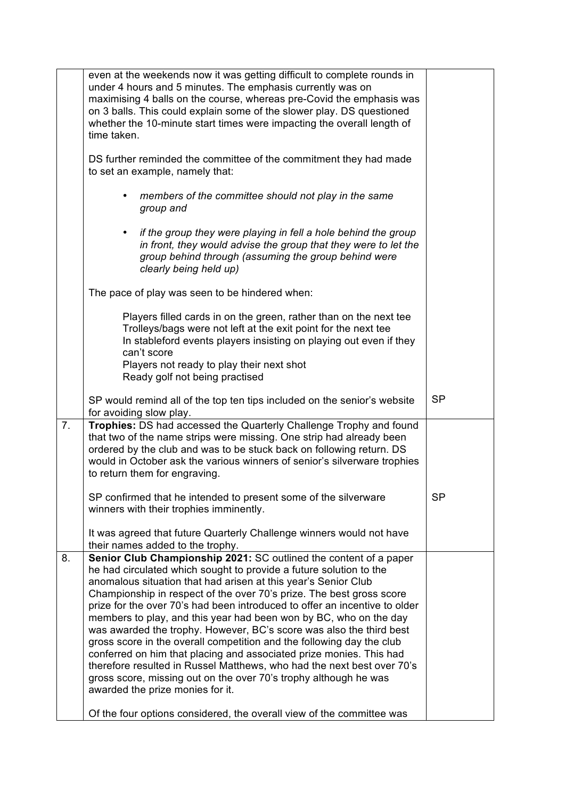|    | even at the weekends now it was getting difficult to complete rounds in<br>under 4 hours and 5 minutes. The emphasis currently was on<br>maximising 4 balls on the course, whereas pre-Covid the emphasis was<br>on 3 balls. This could explain some of the slower play. DS questioned<br>whether the 10-minute start times were impacting the overall length of<br>time taken.                                                                                                                                                                                                                                                                                                                                                                                                                                                               |           |
|----|-----------------------------------------------------------------------------------------------------------------------------------------------------------------------------------------------------------------------------------------------------------------------------------------------------------------------------------------------------------------------------------------------------------------------------------------------------------------------------------------------------------------------------------------------------------------------------------------------------------------------------------------------------------------------------------------------------------------------------------------------------------------------------------------------------------------------------------------------|-----------|
|    | DS further reminded the committee of the commitment they had made<br>to set an example, namely that:                                                                                                                                                                                                                                                                                                                                                                                                                                                                                                                                                                                                                                                                                                                                          |           |
|    | members of the committee should not play in the same<br>٠<br>group and                                                                                                                                                                                                                                                                                                                                                                                                                                                                                                                                                                                                                                                                                                                                                                        |           |
|    | if the group they were playing in fell a hole behind the group<br>in front, they would advise the group that they were to let the<br>group behind through (assuming the group behind were<br>clearly being held up)                                                                                                                                                                                                                                                                                                                                                                                                                                                                                                                                                                                                                           |           |
|    | The pace of play was seen to be hindered when:                                                                                                                                                                                                                                                                                                                                                                                                                                                                                                                                                                                                                                                                                                                                                                                                |           |
|    | Players filled cards in on the green, rather than on the next tee<br>Trolleys/bags were not left at the exit point for the next tee<br>In stableford events players insisting on playing out even if they<br>can't score                                                                                                                                                                                                                                                                                                                                                                                                                                                                                                                                                                                                                      |           |
|    | Players not ready to play their next shot<br>Ready golf not being practised                                                                                                                                                                                                                                                                                                                                                                                                                                                                                                                                                                                                                                                                                                                                                                   |           |
|    | SP would remind all of the top ten tips included on the senior's website<br>for avoiding slow play.                                                                                                                                                                                                                                                                                                                                                                                                                                                                                                                                                                                                                                                                                                                                           | <b>SP</b> |
| 7. | Trophies: DS had accessed the Quarterly Challenge Trophy and found<br>that two of the name strips were missing. One strip had already been<br>ordered by the club and was to be stuck back on following return. DS<br>would in October ask the various winners of senior's silverware trophies<br>to return them for engraving.                                                                                                                                                                                                                                                                                                                                                                                                                                                                                                               |           |
|    | SP confirmed that he intended to present some of the silverware<br>winners with their trophies imminently.                                                                                                                                                                                                                                                                                                                                                                                                                                                                                                                                                                                                                                                                                                                                    | <b>SP</b> |
|    | It was agreed that future Quarterly Challenge winners would not have<br>their names added to the trophy.                                                                                                                                                                                                                                                                                                                                                                                                                                                                                                                                                                                                                                                                                                                                      |           |
| 8. | Senior Club Championship 2021: SC outlined the content of a paper<br>he had circulated which sought to provide a future solution to the<br>anomalous situation that had arisen at this year's Senior Club<br>Championship in respect of the over 70's prize. The best gross score<br>prize for the over 70's had been introduced to offer an incentive to older<br>members to play, and this year had been won by BC, who on the day<br>was awarded the trophy. However, BC's score was also the third best<br>gross score in the overall competition and the following day the club<br>conferred on him that placing and associated prize monies. This had<br>therefore resulted in Russel Matthews, who had the next best over 70's<br>gross score, missing out on the over 70's trophy although he was<br>awarded the prize monies for it. |           |
|    | Of the four options considered, the overall view of the committee was                                                                                                                                                                                                                                                                                                                                                                                                                                                                                                                                                                                                                                                                                                                                                                         |           |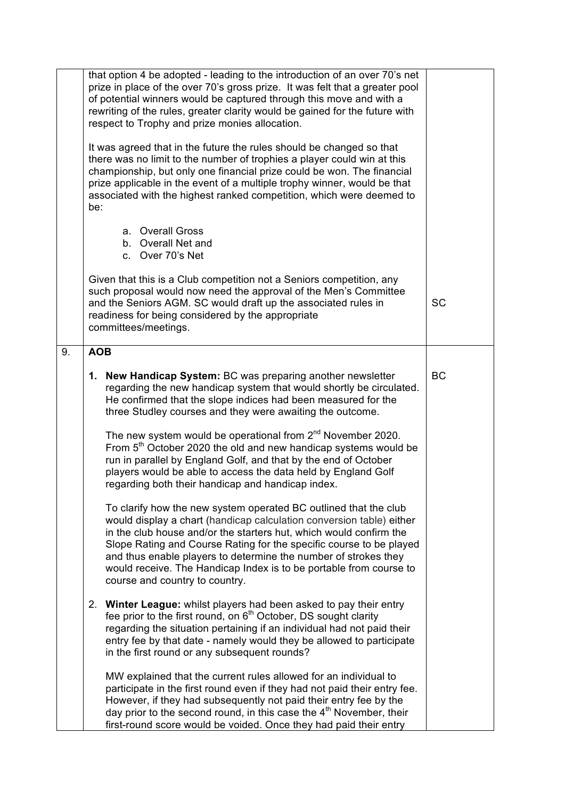|    | that option 4 be adopted - leading to the introduction of an over 70's net<br>prize in place of the over 70's gross prize. It was felt that a greater pool<br>of potential winners would be captured through this move and with a<br>rewriting of the rules, greater clarity would be gained for the future with<br>respect to Trophy and prize monies allocation.                                                                                               |           |
|----|------------------------------------------------------------------------------------------------------------------------------------------------------------------------------------------------------------------------------------------------------------------------------------------------------------------------------------------------------------------------------------------------------------------------------------------------------------------|-----------|
|    | It was agreed that in the future the rules should be changed so that<br>there was no limit to the number of trophies a player could win at this<br>championship, but only one financial prize could be won. The financial<br>prize applicable in the event of a multiple trophy winner, would be that<br>associated with the highest ranked competition, which were deemed to<br>be:                                                                             |           |
|    | a. Overall Gross<br>b. Overall Net and<br>c. Over 70's Net                                                                                                                                                                                                                                                                                                                                                                                                       |           |
|    | Given that this is a Club competition not a Seniors competition, any<br>such proposal would now need the approval of the Men's Committee<br>and the Seniors AGM. SC would draft up the associated rules in<br>readiness for being considered by the appropriate<br>committees/meetings.                                                                                                                                                                          | <b>SC</b> |
| 9. | <b>AOB</b>                                                                                                                                                                                                                                                                                                                                                                                                                                                       |           |
|    | 1. New Handicap System: BC was preparing another newsletter<br>regarding the new handicap system that would shortly be circulated.<br>He confirmed that the slope indices had been measured for the<br>three Studley courses and they were awaiting the outcome.                                                                                                                                                                                                 | <b>BC</b> |
|    | The new system would be operational from 2 <sup>nd</sup> November 2020.<br>From 5 <sup>th</sup> October 2020 the old and new handicap systems would be<br>run in parallel by England Golf, and that by the end of October<br>players would be able to access the data held by England Golf<br>regarding both their handicap and handicap index.                                                                                                                  |           |
|    | To clarify how the new system operated BC outlined that the club<br>would display a chart (handicap calculation conversion table) either<br>in the club house and/or the starters hut, which would confirm the<br>Slope Rating and Course Rating for the specific course to be played<br>and thus enable players to determine the number of strokes they<br>would receive. The Handicap Index is to be portable from course to<br>course and country to country. |           |
|    | 2. Winter League: whilst players had been asked to pay their entry<br>fee prior to the first round, on 6 <sup>th</sup> October, DS sought clarity<br>regarding the situation pertaining if an individual had not paid their<br>entry fee by that date - namely would they be allowed to participate<br>in the first round or any subsequent rounds?                                                                                                              |           |
|    | MW explained that the current rules allowed for an individual to<br>participate in the first round even if they had not paid their entry fee.<br>However, if they had subsequently not paid their entry fee by the<br>day prior to the second round, in this case the $4th$ November, their<br>first-round score would be voided. Once they had paid their entry                                                                                                 |           |